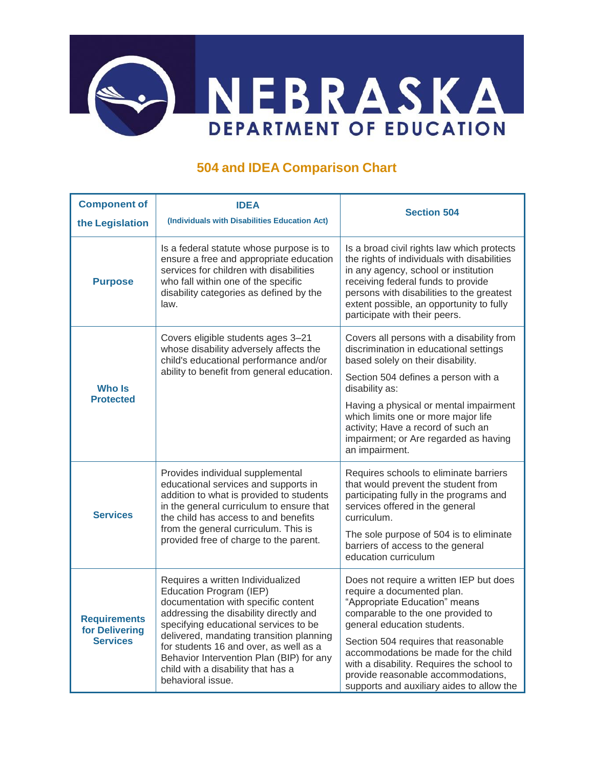

## **504 and IDEA Comparison Chart**

| <b>Component of</b>                                      | <b>IDEA</b>                                                                                                                                                                                                                                                                                                                                                                         | <b>Section 504</b>                                                                                                                                                                                                                                                                                                                                                                         |
|----------------------------------------------------------|-------------------------------------------------------------------------------------------------------------------------------------------------------------------------------------------------------------------------------------------------------------------------------------------------------------------------------------------------------------------------------------|--------------------------------------------------------------------------------------------------------------------------------------------------------------------------------------------------------------------------------------------------------------------------------------------------------------------------------------------------------------------------------------------|
| the Legislation                                          | (Individuals with Disabilities Education Act)                                                                                                                                                                                                                                                                                                                                       |                                                                                                                                                                                                                                                                                                                                                                                            |
| <b>Purpose</b>                                           | Is a federal statute whose purpose is to<br>ensure a free and appropriate education<br>services for children with disabilities<br>who fall within one of the specific<br>disability categories as defined by the<br>law.                                                                                                                                                            | Is a broad civil rights law which protects<br>the rights of individuals with disabilities<br>in any agency, school or institution<br>receiving federal funds to provide<br>persons with disabilities to the greatest<br>extent possible, an opportunity to fully<br>participate with their peers.                                                                                          |
| Who Is<br><b>Protected</b>                               | Covers eligible students ages 3-21<br>whose disability adversely affects the<br>child's educational performance and/or<br>ability to benefit from general education.                                                                                                                                                                                                                | Covers all persons with a disability from<br>discrimination in educational settings<br>based solely on their disability.<br>Section 504 defines a person with a<br>disability as:<br>Having a physical or mental impairment<br>which limits one or more major life<br>activity; Have a record of such an<br>impairment; or Are regarded as having<br>an impairment.                        |
| <b>Services</b>                                          | Provides individual supplemental<br>educational services and supports in<br>addition to what is provided to students<br>in the general curriculum to ensure that<br>the child has access to and benefits<br>from the general curriculum. This is<br>provided free of charge to the parent.                                                                                          | Requires schools to eliminate barriers<br>that would prevent the student from<br>participating fully in the programs and<br>services offered in the general<br>curriculum.<br>The sole purpose of 504 is to eliminate<br>barriers of access to the general<br>education curriculum                                                                                                         |
| <b>Requirements</b><br>for Delivering<br><b>Services</b> | Requires a written Individualized<br>Education Program (IEP)<br>documentation with specific content<br>addressing the disability directly and<br>specifying educational services to be<br>delivered, mandating transition planning<br>for students 16 and over, as well as a<br>Behavior Intervention Plan (BIP) for any<br>child with a disability that has a<br>behavioral issue. | Does not require a written IEP but does<br>require a documented plan.<br>"Appropriate Education" means<br>comparable to the one provided to<br>general education students.<br>Section 504 requires that reasonable<br>accommodations be made for the child<br>with a disability. Requires the school to<br>provide reasonable accommodations,<br>supports and auxiliary aides to allow the |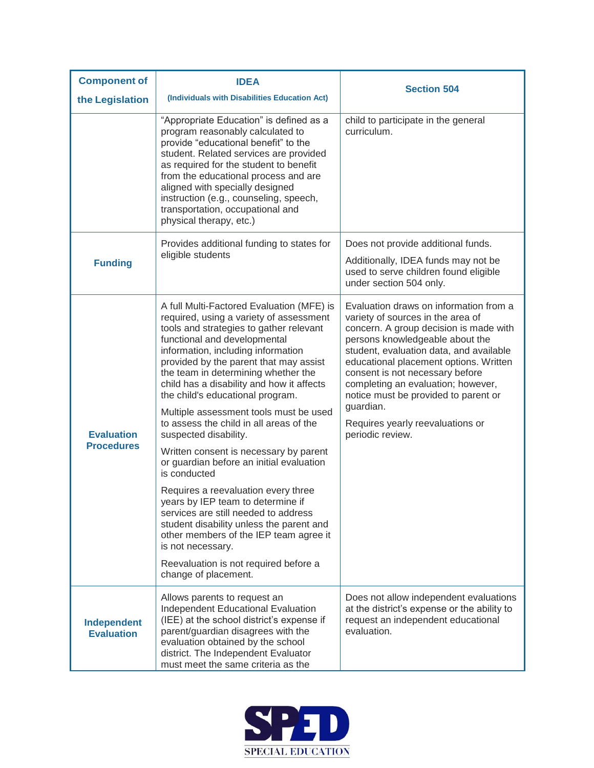| <b>Component of</b>                    | <b>IDEA</b>                                                                                                                                                                                                                                                                                                                                                                                                                                                                                                                                                                                                                                                                                                                                                                                                                                                                                 |                                                                                                                                                                                                                                                                                                                                                                                                                                     |
|----------------------------------------|---------------------------------------------------------------------------------------------------------------------------------------------------------------------------------------------------------------------------------------------------------------------------------------------------------------------------------------------------------------------------------------------------------------------------------------------------------------------------------------------------------------------------------------------------------------------------------------------------------------------------------------------------------------------------------------------------------------------------------------------------------------------------------------------------------------------------------------------------------------------------------------------|-------------------------------------------------------------------------------------------------------------------------------------------------------------------------------------------------------------------------------------------------------------------------------------------------------------------------------------------------------------------------------------------------------------------------------------|
| the Legislation                        | (Individuals with Disabilities Education Act)                                                                                                                                                                                                                                                                                                                                                                                                                                                                                                                                                                                                                                                                                                                                                                                                                                               | <b>Section 504</b>                                                                                                                                                                                                                                                                                                                                                                                                                  |
|                                        | "Appropriate Education" is defined as a<br>program reasonably calculated to<br>provide "educational benefit" to the<br>student. Related services are provided<br>as required for the student to benefit<br>from the educational process and are<br>aligned with specially designed<br>instruction (e.g., counseling, speech,<br>transportation, occupational and<br>physical therapy, etc.)                                                                                                                                                                                                                                                                                                                                                                                                                                                                                                 | child to participate in the general<br>curriculum.                                                                                                                                                                                                                                                                                                                                                                                  |
| <b>Funding</b>                         | Provides additional funding to states for<br>eligible students                                                                                                                                                                                                                                                                                                                                                                                                                                                                                                                                                                                                                                                                                                                                                                                                                              | Does not provide additional funds.                                                                                                                                                                                                                                                                                                                                                                                                  |
|                                        |                                                                                                                                                                                                                                                                                                                                                                                                                                                                                                                                                                                                                                                                                                                                                                                                                                                                                             | Additionally, IDEA funds may not be<br>used to serve children found eligible<br>under section 504 only.                                                                                                                                                                                                                                                                                                                             |
| <b>Evaluation</b><br><b>Procedures</b> | A full Multi-Factored Evaluation (MFE) is<br>required, using a variety of assessment<br>tools and strategies to gather relevant<br>functional and developmental<br>information, including information<br>provided by the parent that may assist<br>the team in determining whether the<br>child has a disability and how it affects<br>the child's educational program.<br>Multiple assessment tools must be used<br>to assess the child in all areas of the<br>suspected disability.<br>Written consent is necessary by parent<br>or guardian before an initial evaluation<br>is conducted<br>Requires a reevaluation every three<br>years by IEP team to determine if<br>services are still needed to address<br>student disability unless the parent and<br>other members of the IEP team agree it<br>is not necessary.<br>Reevaluation is not required before a<br>change of placement. | Evaluation draws on information from a<br>variety of sources in the area of<br>concern. A group decision is made with<br>persons knowledgeable about the<br>student, evaluation data, and available<br>educational placement options. Written<br>consent is not necessary before<br>completing an evaluation; however,<br>notice must be provided to parent or<br>guardian.<br>Requires yearly reevaluations or<br>periodic review. |
| Independent<br><b>Evaluation</b>       | Allows parents to request an<br>Independent Educational Evaluation<br>(IEE) at the school district's expense if<br>parent/guardian disagrees with the<br>evaluation obtained by the school<br>district. The Independent Evaluator<br>must meet the same criteria as the                                                                                                                                                                                                                                                                                                                                                                                                                                                                                                                                                                                                                     | Does not allow independent evaluations<br>at the district's expense or the ability to<br>request an independent educational<br>evaluation.                                                                                                                                                                                                                                                                                          |

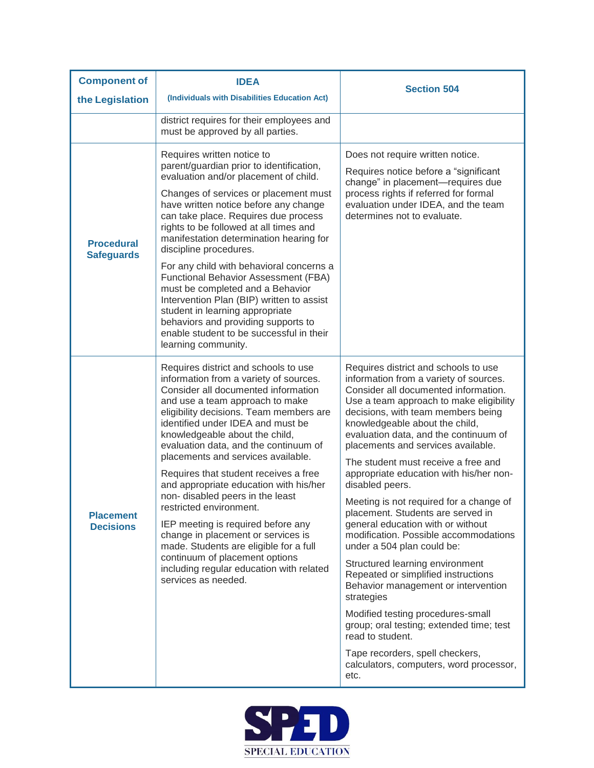| <b>Component of</b>                    | <b>IDEA</b>                                                                                                                                                                                                                                                                                                                                                                                                                                                                                                                                                                                                                                                                                                                                                  | <b>Section 504</b>                                                                                                                                                                                                                                                                                                                                                                                                                                                                                                                                                                                                                                                                                                                                                                                                                                                                                                                                  |
|----------------------------------------|--------------------------------------------------------------------------------------------------------------------------------------------------------------------------------------------------------------------------------------------------------------------------------------------------------------------------------------------------------------------------------------------------------------------------------------------------------------------------------------------------------------------------------------------------------------------------------------------------------------------------------------------------------------------------------------------------------------------------------------------------------------|-----------------------------------------------------------------------------------------------------------------------------------------------------------------------------------------------------------------------------------------------------------------------------------------------------------------------------------------------------------------------------------------------------------------------------------------------------------------------------------------------------------------------------------------------------------------------------------------------------------------------------------------------------------------------------------------------------------------------------------------------------------------------------------------------------------------------------------------------------------------------------------------------------------------------------------------------------|
| the Legislation                        | (Individuals with Disabilities Education Act)                                                                                                                                                                                                                                                                                                                                                                                                                                                                                                                                                                                                                                                                                                                |                                                                                                                                                                                                                                                                                                                                                                                                                                                                                                                                                                                                                                                                                                                                                                                                                                                                                                                                                     |
|                                        | district requires for their employees and<br>must be approved by all parties.                                                                                                                                                                                                                                                                                                                                                                                                                                                                                                                                                                                                                                                                                |                                                                                                                                                                                                                                                                                                                                                                                                                                                                                                                                                                                                                                                                                                                                                                                                                                                                                                                                                     |
| <b>Procedural</b><br><b>Safeguards</b> | Requires written notice to<br>parent/guardian prior to identification,<br>evaluation and/or placement of child.<br>Changes of services or placement must<br>have written notice before any change<br>can take place. Requires due process<br>rights to be followed at all times and<br>manifestation determination hearing for<br>discipline procedures.<br>For any child with behavioral concerns a<br>Functional Behavior Assessment (FBA)<br>must be completed and a Behavior<br>Intervention Plan (BIP) written to assist<br>student in learning appropriate<br>behaviors and providing supports to<br>enable student to be successful in their                                                                                                          | Does not require written notice.<br>Requires notice before a "significant<br>change" in placement-requires due<br>process rights if referred for formal<br>evaluation under IDEA, and the team<br>determines not to evaluate.                                                                                                                                                                                                                                                                                                                                                                                                                                                                                                                                                                                                                                                                                                                       |
| <b>Placement</b><br><b>Decisions</b>   | learning community.<br>Requires district and schools to use<br>information from a variety of sources.<br>Consider all documented information<br>and use a team approach to make<br>eligibility decisions. Team members are<br>identified under IDEA and must be<br>knowledgeable about the child,<br>evaluation data, and the continuum of<br>placements and services available.<br>Requires that student receives a free<br>and appropriate education with his/her<br>non-disabled peers in the least<br>restricted environment.<br>IEP meeting is required before any<br>change in placement or services is<br>made. Students are eligible for a full<br>continuum of placement options<br>including regular education with related<br>services as needed. | Requires district and schools to use<br>information from a variety of sources.<br>Consider all documented information.<br>Use a team approach to make eligibility<br>decisions, with team members being<br>knowledgeable about the child,<br>evaluation data, and the continuum of<br>placements and services available.<br>The student must receive a free and<br>appropriate education with his/her non-<br>disabled peers.<br>Meeting is not required for a change of<br>placement. Students are served in<br>general education with or without<br>modification. Possible accommodations<br>under a 504 plan could be:<br>Structured learning environment<br>Repeated or simplified instructions<br>Behavior management or intervention<br>strategies<br>Modified testing procedures-small<br>group; oral testing; extended time; test<br>read to student.<br>Tape recorders, spell checkers,<br>calculators, computers, word processor,<br>etc. |